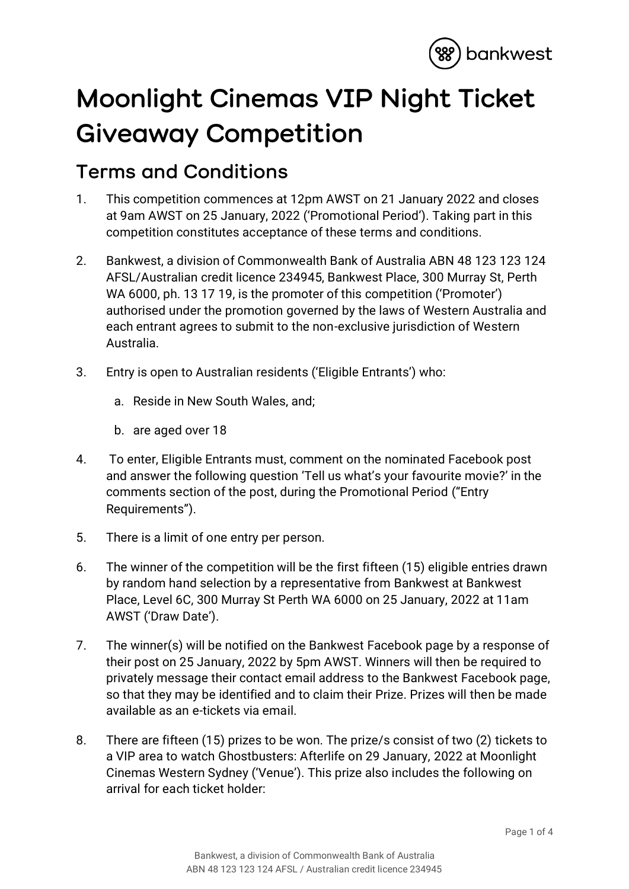

## **Moonlight Cinemas VIP Night Ticket Giveaway Competition**

## **Terms and Conditions**

- 1. This competition commences at 12pm AWST on 21 January 2022 and closes at 9am AWST on 25 January, 2022 ('Promotional Period'). Taking part in this competition constitutes acceptance of these terms and conditions.
- 2. Bankwest, a division of Commonwealth Bank of Australia ABN 48 123 123 124 AFSL/Australian credit licence 234945, Bankwest Place, 300 Murray St, Perth WA 6000, ph. 13 17 19, is the promoter of this competition ('Promoter') authorised under the promotion governed by the laws of Western Australia and each entrant agrees to submit to the non-exclusive jurisdiction of Western Australia.
- 3. Entry is open to Australian residents ('Eligible Entrants') who:
	- a. Reside in New South Wales, and;
	- b. are aged over 18
- 4. To enter, Eligible Entrants must, comment on the nominated Facebook post and answer the following question 'Tell us what's your favourite movie?' in the comments section of the post, during the Promotional Period ("Entry Requirements").
- 5. There is a limit of one entry per person.
- 6. The winner of the competition will be the first fifteen (15) eligible entries drawn by random hand selection by a representative from Bankwest at Bankwest Place, Level 6C, 300 Murray St Perth WA 6000 on 25 January, 2022 at 11am AWST ('Draw Date').
- 7. The winner(s) will be notified on the Bankwest Facebook page by a response of their post on 25 January, 2022 by 5pm AWST. Winners will then be required to privately message their contact email address to the Bankwest Facebook page, so that they may be identified and to claim their Prize. Prizes will then be made available as an e-tickets via email.
- 8. There are fifteen (15) prizes to be won. The prize/s consist of two (2) tickets to a VIP area to watch Ghostbusters: Afterlife on 29 January, 2022 at Moonlight Cinemas Western Sydney ('Venue'). This prize also includes the following on arrival for each ticket holder: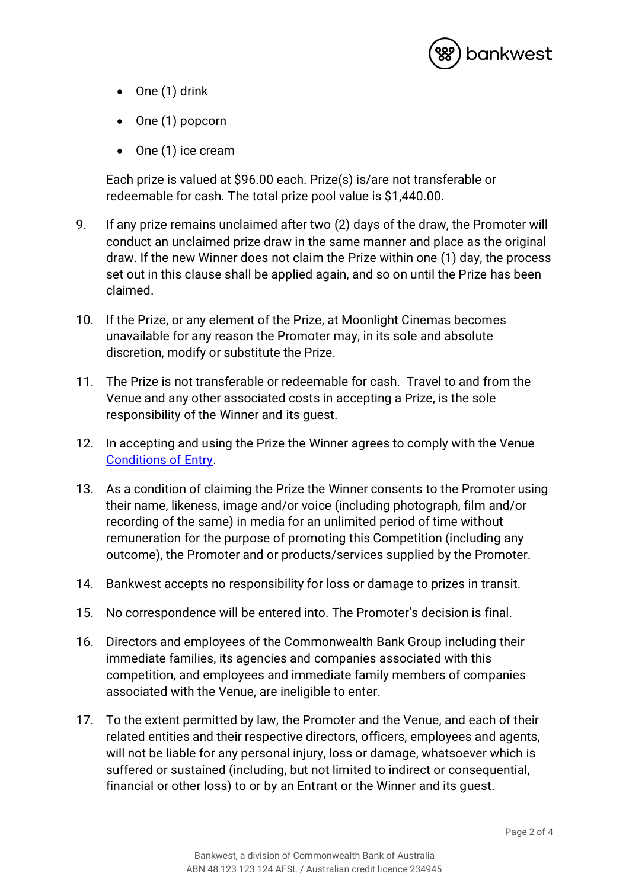

- One (1) drink
- One (1) popcorn
- One (1) ice cream

Each prize is valued at \$96.00 each. Prize(s) is/are not transferable or redeemable for cash. The total prize pool value is \$1,440.00.

- 9. If any prize remains unclaimed after two (2) days of the draw, the Promoter will conduct an unclaimed prize draw in the same manner and place as the original draw. If the new Winner does not claim the Prize within one (1) day, the process set out in this clause shall be applied again, and so on until the Prize has been claimed.
- 10. If the Prize, or any element of the Prize, at Moonlight Cinemas becomes unavailable for any reason the Promoter may, in its sole and absolute discretion, modify or substitute the Prize.
- 11. The Prize is not transferable or redeemable for cash. Travel to and from the Venue and any other associated costs in accepting a Prize, is the sole responsibility of the Winner and its guest.
- 12. In accepting and using the Prize the Winner agrees to comply with the Venue [Conditions of Entry.](https://www.moonlight.com.au/terms-of-sale/)
- 13. As a condition of claiming the Prize the Winner consents to the Promoter using their name, likeness, image and/or voice (including photograph, film and/or recording of the same) in media for an unlimited period of time without remuneration for the purpose of promoting this Competition (including any outcome), the Promoter and or products/services supplied by the Promoter.
- 14. Bankwest accepts no responsibility for loss or damage to prizes in transit.
- 15. No correspondence will be entered into. The Promoter's decision is final.
- 16. Directors and employees of the Commonwealth Bank Group including their immediate families, its agencies and companies associated with this competition, and employees and immediate family members of companies associated with the Venue, are ineligible to enter.
- 17. To the extent permitted by law, the Promoter and the Venue, and each of their related entities and their respective directors, officers, employees and agents, will not be liable for any personal injury, loss or damage, whatsoever which is suffered or sustained (including, but not limited to indirect or consequential, financial or other loss) to or by an Entrant or the Winner and its guest.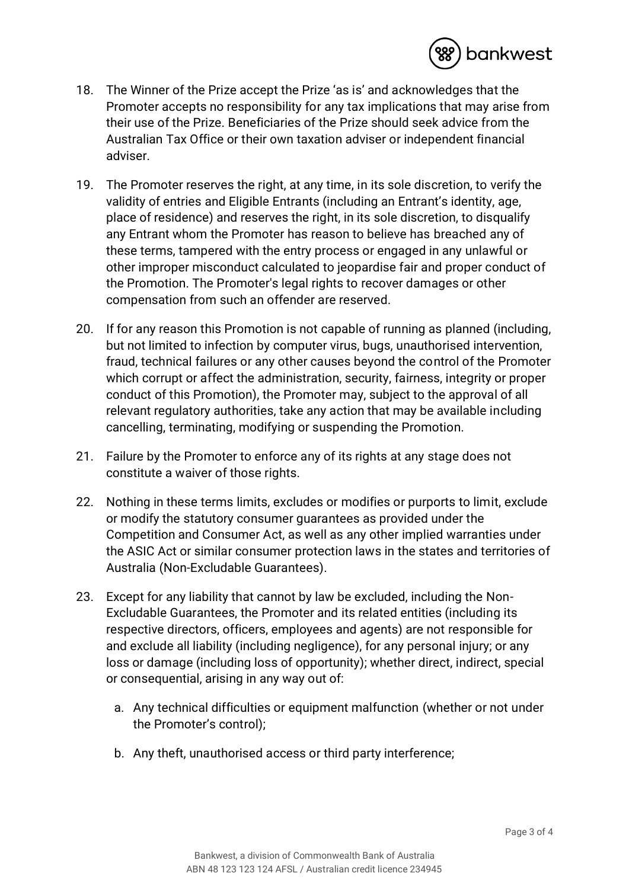

- 18. The Winner of the Prize accept the Prize 'as is' and acknowledges that the Promoter accepts no responsibility for any tax implications that may arise from their use of the Prize. Beneficiaries of the Prize should seek advice from the Australian Tax Office or their own taxation adviser or independent financial adviser.
- 19. The Promoter reserves the right, at any time, in its sole discretion, to verify the validity of entries and Eligible Entrants (including an Entrant's identity, age, place of residence) and reserves the right, in its sole discretion, to disqualify any Entrant whom the Promoter has reason to believe has breached any of these terms, tampered with the entry process or engaged in any unlawful or other improper misconduct calculated to jeopardise fair and proper conduct of the Promotion. The Promoter's legal rights to recover damages or other compensation from such an offender are reserved.
- 20. If for any reason this Promotion is not capable of running as planned (including, but not limited to infection by computer virus, bugs, unauthorised intervention, fraud, technical failures or any other causes beyond the control of the Promoter which corrupt or affect the administration, security, fairness, integrity or proper conduct of this Promotion), the Promoter may, subject to the approval of all relevant regulatory authorities, take any action that may be available including cancelling, terminating, modifying or suspending the Promotion.
- 21. Failure by the Promoter to enforce any of its rights at any stage does not constitute a waiver of those rights.
- 22. Nothing in these terms limits, excludes or modifies or purports to limit, exclude or modify the statutory consumer guarantees as provided under the Competition and Consumer Act, as well as any other implied warranties under the ASIC Act or similar consumer protection laws in the states and territories of Australia (Non-Excludable Guarantees).
- 23. Except for any liability that cannot by law be excluded, including the Non-Excludable Guarantees, the Promoter and its related entities (including its respective directors, officers, employees and agents) are not responsible for and exclude all liability (including negligence), for any personal injury; or any loss or damage (including loss of opportunity); whether direct, indirect, special or consequential, arising in any way out of:
	- a. Any technical difficulties or equipment malfunction (whether or not under the Promoter's control);
	- b. Any theft, unauthorised access or third party interference;